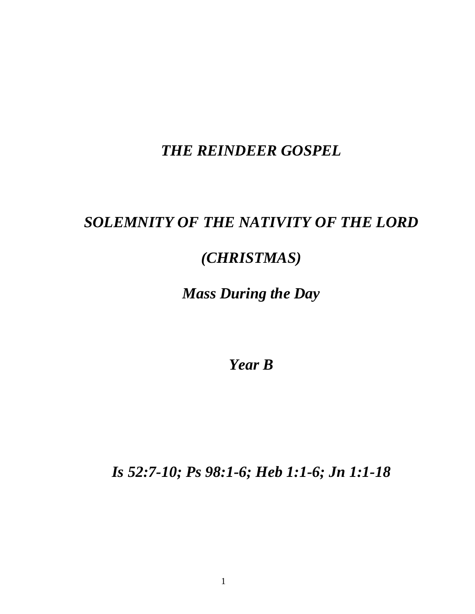## *THE REINDEER GOSPEL*

## *SOLEMNITY OF THE NATIVITY OF THE LORD*

## *(CHRISTMAS)*

## *Mass During the Day*

*Year B*

*Is 52:7-10; Ps 98:1-6; Heb 1:1-6; Jn 1:1-18*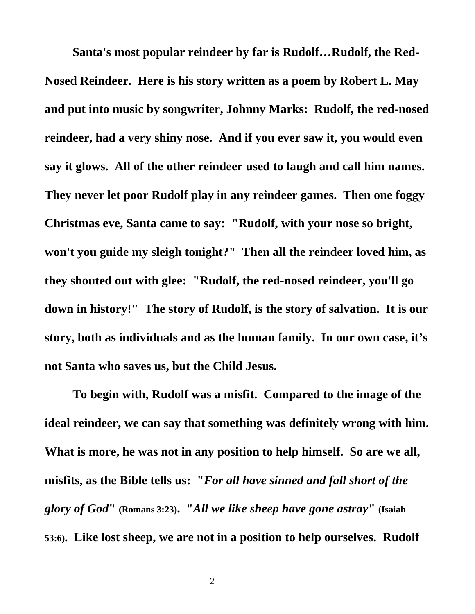**Santa's most popular reindeer by far is Rudolf…Rudolf, the Red-Nosed Reindeer. Here is his story written as a poem by Robert L. May and put into music by songwriter, Johnny Marks: Rudolf, the red-nosed reindeer, had a very shiny nose. And if you ever saw it, you would even say it glows. All of the other reindeer used to laugh and call him names. They never let poor Rudolf play in any reindeer games. Then one foggy Christmas eve, Santa came to say: "Rudolf, with your nose so bright, won't you guide my sleigh tonight?" Then all the reindeer loved him, as they shouted out with glee: "Rudolf, the red-nosed reindeer, you'll go down in history!" The story of Rudolf, is the story of salvation. It is our story, both as individuals and as the human family. In our own case, it's not Santa who saves us, but the Child Jesus.**

**To begin with, Rudolf was a misfit. Compared to the image of the ideal reindeer, we can say that something was definitely wrong with him. What is more, he was not in any position to help himself. So are we all, misfits, as the Bible tells us: "***For all have sinned and fall short of the glory of God***" (Romans 3:23). "***All we like sheep have gone astray***" (Isaiah 53:6). Like lost sheep, we are not in a position to help ourselves. Rudolf**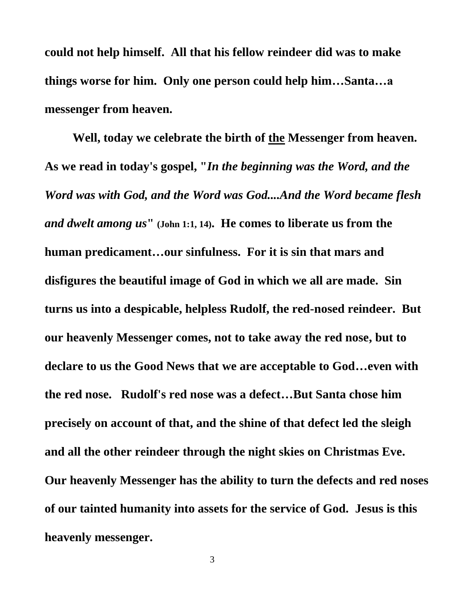**could not help himself. All that his fellow reindeer did was to make things worse for him. Only one person could help him…Santa…a messenger from heaven.**

**Well, today we celebrate the birth of the Messenger from heaven. As we read in today's gospel, "***In the beginning was the Word, and the Word was with God, and the Word was God....And the Word became flesh and dwelt among us***" (John 1:1, 14). He comes to liberate us from the human predicament…our sinfulness. For it is sin that mars and disfigures the beautiful image of God in which we all are made. Sin turns us into a despicable, helpless Rudolf, the red-nosed reindeer. But our heavenly Messenger comes, not to take away the red nose, but to declare to us the Good News that we are acceptable to God…even with the red nose. Rudolf's red nose was a defect…But Santa chose him precisely on account of that, and the shine of that defect led the sleigh and all the other reindeer through the night skies on Christmas Eve. Our heavenly Messenger has the ability to turn the defects and red noses of our tainted humanity into assets for the service of God. Jesus is this heavenly messenger.**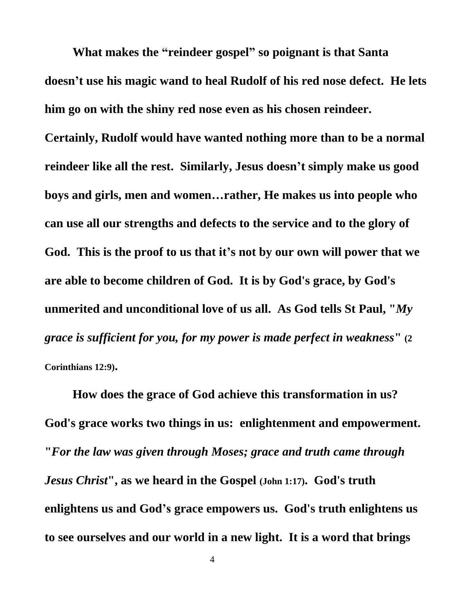**What makes the "reindeer gospel" so poignant is that Santa doesn't use his magic wand to heal Rudolf of his red nose defect. He lets him go on with the shiny red nose even as his chosen reindeer.** 

**Certainly, Rudolf would have wanted nothing more than to be a normal reindeer like all the rest. Similarly, Jesus doesn't simply make us good boys and girls, men and women…rather, He makes us into people who can use all our strengths and defects to the service and to the glory of God. This is the proof to us that it's not by our own will power that we are able to become children of God. It is by God's grace, by God's unmerited and unconditional love of us all. As God tells St Paul, "***My grace is sufficient for you, for my power is made perfect in weakness***" (2 Corinthians 12:9).**

**How does the grace of God achieve this transformation in us? God's grace works two things in us: enlightenment and empowerment. "***For the law was given through Moses; grace and truth came through Jesus Christ***", as we heard in the Gospel (John 1:17). God's truth enlightens us and God's grace empowers us. God's truth enlightens us to see ourselves and our world in a new light. It is a word that brings**